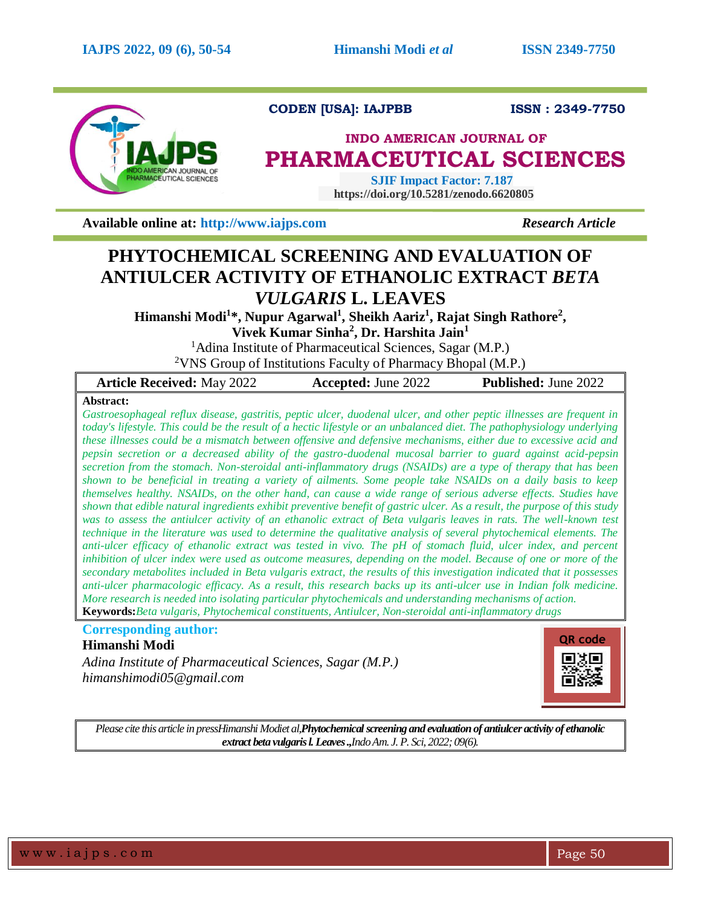

# **CODEN [USA]: IAJPBB ISSN : 2349-7750**

# **INDO AMERICAN JOURNAL OF PHARMACEUTICAL SCIENCES**

 **SJIF Impact Factor: 7.187 https://doi.org/10.5281/zenodo.6620805**

**Available online at: [http://www.iajps.com](http://www.iajps.com/)** *Research Article*

# **PHYTOCHEMICAL SCREENING AND EVALUATION OF ANTIULCER ACTIVITY OF ETHANOLIC EXTRACT** *BETA VULGARIS* **L. LEAVES**

**Himanshi Modi<sup>1</sup> \*, Nupur Agarwal<sup>1</sup> , Sheikh Aariz<sup>1</sup> , Rajat Singh Rathore<sup>2</sup> ,** 

**Vivek Kumar Sinha<sup>2</sup> , Dr. Harshita Jain<sup>1</sup>**

<sup>1</sup>Adina Institute of Pharmaceutical Sciences, Sagar (M.P.)

<sup>2</sup>VNS Group of Institutions Faculty of Pharmacy Bhopal (M.P.)

| <b>Article Received: May 2022</b> | <b>Accepted:</b> June 2022 | <b>Published:</b> June 2022 |
|-----------------------------------|----------------------------|-----------------------------|
| .                                 |                            |                             |

# **Abstract:**

*Gastroesophageal reflux disease, gastritis, peptic ulcer, duodenal ulcer, and other peptic illnesses are frequent in today's lifestyle. This could be the result of a hectic lifestyle or an unbalanced diet. The pathophysiology underlying these illnesses could be a mismatch between offensive and defensive mechanisms, either due to excessive acid and pepsin secretion or a decreased ability of the gastro-duodenal mucosal barrier to guard against acid-pepsin secretion from the stomach. Non-steroidal anti-inflammatory drugs (NSAIDs) are a type of therapy that has been shown to be beneficial in treating a variety of ailments. Some people take NSAIDs on a daily basis to keep themselves healthy. NSAIDs, on the other hand, can cause a wide range of serious adverse effects. Studies have shown that edible natural ingredients exhibit preventive benefit of gastric ulcer. As a result, the purpose of this study*  was to assess the antiulcer activity of an ethanolic extract of Beta vulgaris leaves in rats. The well-known test *technique in the literature was used to determine the qualitative analysis of several phytochemical elements. The* anti-ulcer efficacy of ethanolic extract was tested in vivo. The pH of stomach fluid, ulcer index, and percent *inhibition of ulcer index were used as outcome measures, depending on the model. Because of one or more of the secondary metabolites included in Beta vulgaris extract, the results of this investigation indicated that it possesses anti-ulcer pharmacologic efficacy. As a result, this research backs up its anti-ulcer use in Indian folk medicine. More research is needed into isolating particular phytochemicals and understanding mechanisms of action.* **Keywords:***Beta vulgaris, Phytochemical constituents, Antiulcer, Non-steroidal anti-inflammatory drugs*

**Corresponding author: Himanshi Modi**

*Adina Institute of Pharmaceutical Sciences, Sagar (M.P.) himanshimodi05@gmail.com*



*Please cite this article in pressHimanshi Modiet al,Phytochemicalscreening and evaluation of antiulcer activity of ethanolic extract beta vulgaris l. Leaves .,Indo Am. J. P. Sci, 2022; 09(6).*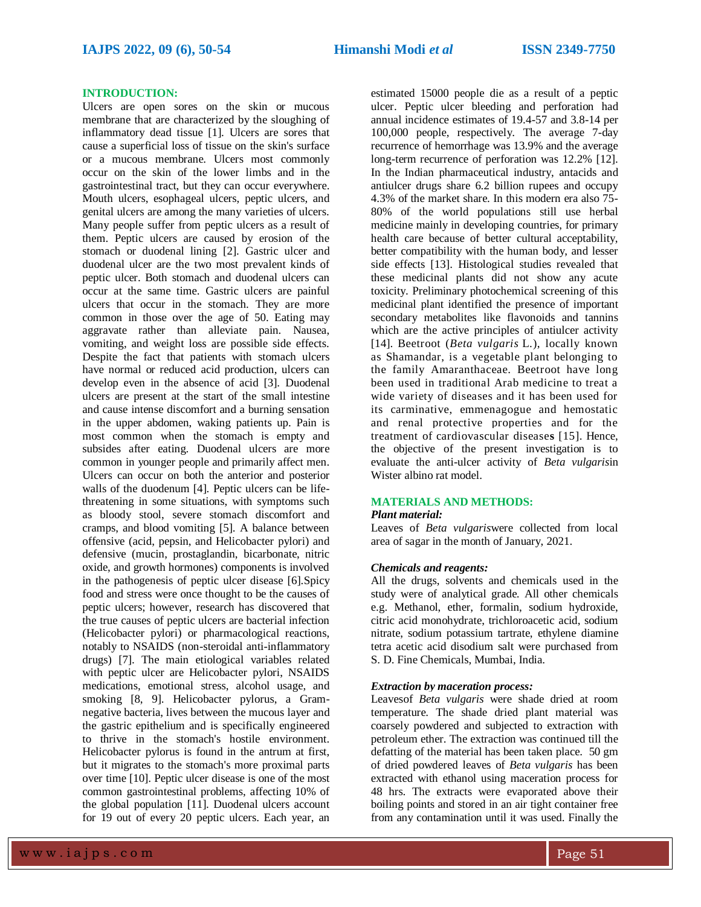### **INTRODUCTION:**

Ulcers are open sores on the skin or mucous membrane that are characterized by the sloughing of inflammatory dead tissue [1]. Ulcers are sores that cause a superficial loss of tissue on the skin's surface or a mucous membrane. Ulcers most commonly occur on the skin of the lower limbs and in the gastrointestinal tract, but they can occur everywhere. Mouth ulcers, esophageal ulcers, peptic ulcers, and genital ulcers are among the many varieties of ulcers. Many people suffer from peptic ulcers as a result of them. Peptic ulcers are caused by erosion of the stomach or duodenal lining [2]. Gastric ulcer and duodenal ulcer are the two most prevalent kinds of peptic ulcer. Both stomach and duodenal ulcers can occur at the same time. Gastric ulcers are painful ulcers that occur in the stomach. They are more common in those over the age of 50. Eating may aggravate rather than alleviate pain. Nausea, vomiting, and weight loss are possible side effects. Despite the fact that patients with stomach ulcers have normal or reduced acid production, ulcers can develop even in the absence of acid [3]. Duodenal ulcers are present at the start of the small intestine and cause intense discomfort and a burning sensation in the upper abdomen, waking patients up. Pain is most common when the stomach is empty and subsides after eating. Duodenal ulcers are more common in younger people and primarily affect men. Ulcers can occur on both the anterior and posterior walls of the duodenum [4]. Peptic ulcers can be lifethreatening in some situations, with symptoms such as bloody stool, severe stomach discomfort and cramps, and blood vomiting [5]. A balance between offensive (acid, pepsin, and Helicobacter pylori) and defensive (mucin, prostaglandin, bicarbonate, nitric oxide, and growth hormones) components is involved in the pathogenesis of peptic ulcer disease [6].Spicy food and stress were once thought to be the causes of peptic ulcers; however, research has discovered that the true causes of peptic ulcers are bacterial infection (Helicobacter pylori) or pharmacological reactions, notably to NSAIDS (non-steroidal anti-inflammatory drugs) [7]. The main etiological variables related with peptic ulcer are Helicobacter pylori, NSAIDS medications, emotional stress, alcohol usage, and smoking [8, 9]. Helicobacter pylorus, a Gramnegative bacteria, lives between the mucous layer and the gastric epithelium and is specifically engineered to thrive in the stomach's hostile environment. Helicobacter pylorus is found in the antrum at first, but it migrates to the stomach's more proximal parts over time [10]. Peptic ulcer disease is one of the most common gastrointestinal problems, affecting 10% of the global population [11]. Duodenal ulcers account for 19 out of every 20 peptic ulcers. Each year, an

estimated 15000 people die as a result of a peptic ulcer. Peptic ulcer bleeding and perforation had annual incidence estimates of 19.4-57 and 3.8-14 per 100,000 people, respectively. The average 7-day recurrence of hemorrhage was 13.9% and the average long-term recurrence of perforation was 12.2% [12]. In the Indian pharmaceutical industry, antacids and antiulcer drugs share 6.2 billion rupees and occupy 4.3% of the market share. In this modern era also 75- 80% of the world populations still use herbal medicine mainly in developing countries, for primary health care because of better cultural acceptability, better compatibility with the human body, and lesser side effects [13]. Histological studies revealed that these medicinal plants did not show any acute toxicity. Preliminary photochemical screening of this medicinal plant identified the presence of important secondary metabolites like flavonoids and tannins which are the active principles of antiulcer activity [14]. Beetroot (*Beta vulgaris* L.), locally known as Shamandar, is a vegetable plant belonging to the family Amaranthaceae. Beetroot have long been used in traditional Arab medicine to treat a wide variety of diseases and it has been used for its carminative, emmenagogue and hemostatic and renal protective properties and for the treatment of [cardiovascular disease](https://ascidatabase.com/result.php?searchin=Keywords&cat=&ascicat=ALL&Submit=Search&keyword=cardiovascular+disease)**s** [15]. Hence, the objective of the present investigation is to evaluate the anti-ulcer activity of *Beta vulgaris*in Wister albino rat model.

# **MATERIALS AND METHODS:**

#### *Plant material:*

Leaves of *Beta vulgaris*were collected from local area of sagar in the month of January, 2021.

#### *Chemicals and reagents:*

All the drugs, solvents and chemicals used in the study were of analytical grade. All other chemicals e.g. Methanol, ether, formalin, sodium hydroxide, citric acid monohydrate, trichloroacetic acid, sodium nitrate, sodium potassium tartrate, ethylene diamine tetra acetic acid disodium salt were purchased from S. D. Fine Chemicals, Mumbai, India.

### *Extraction by maceration process:*

Leavesof *Beta vulgaris* were shade dried at room temperature. The shade dried plant material was coarsely powdered and subjected to extraction with petroleum ether. The extraction was continued till the defatting of the material has been taken place. 50 gm of dried powdered leaves of *Beta vulgaris* has been extracted with ethanol using maceration process for 48 hrs. The extracts were evaporated above their boiling points and stored in an air tight container free from any contamination until it was used. Finally the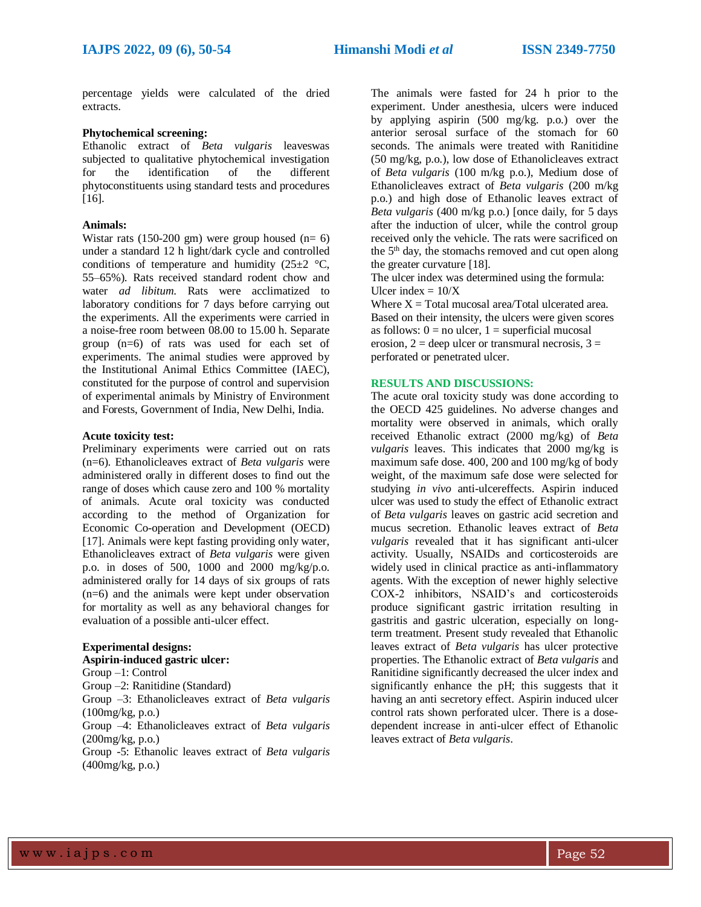percentage yields were calculated of the dried extracts.

# **Phytochemical screening:**

Ethanolic extract of *Beta vulgaris* leaveswas subjected to qualitative phytochemical investigation for the identification of the different phytoconstituents using standard tests and procedures [16].

# **Animals:**

Wistar rats (150-200 gm) were group housed ( $n= 6$ ) under a standard 12 h light/dark cycle and controlled conditions of temperature and humidity (25 $\pm$ 2 °C, 55–65%). Rats received standard rodent chow and water *ad libitum*. Rats were acclimatized to laboratory conditions for 7 days before carrying out the experiments. All the experiments were carried in a noise-free room between 08.00 to 15.00 h. Separate group (n=6) of rats was used for each set of experiments. The animal studies were approved by the Institutional Animal Ethics Committee (IAEC), constituted for the purpose of control and supervision of experimental animals by Ministry of Environment and Forests, Government of India, New Delhi, India.

# **Acute toxicity test:**

Preliminary experiments were carried out on rats (n=6). Ethanolicleaves extract of *Beta vulgaris* were administered orally in different doses to find out the range of doses which cause zero and 100 % mortality of animals. Acute oral toxicity was conducted according to the method of Organization for Economic Co-operation and Development (OECD) [17]. Animals were kept fasting providing only water, Ethanolicleaves extract of *Beta vulgaris* were given p.o. in doses of 500, 1000 and 2000 mg/kg/p.o. administered orally for 14 days of six groups of rats (n=6) and the animals were kept under observation for mortality as well as any behavioral changes for evaluation of a possible anti-ulcer effect.

## **Experimental designs:**

# **Aspirin-induced gastric ulcer:**

Group –1: Control

Group –2: Ranitidine (Standard)

Group –3: Ethanolicleaves extract of *Beta vulgaris*  (100mg/kg, p.o.)

Group –4: Ethanolicleaves extract of *Beta vulgaris*  (200mg/kg, p.o.)

Group -5: Ethanolic leaves extract of *Beta vulgaris*  (400mg/kg, p.o.)

The animals were fasted for 24 h prior to the experiment. Under anesthesia, ulcers were induced by applying aspirin (500 mg/kg. p.o.) over the anterior serosal surface of the stomach for 60 seconds. The animals were treated with Ranitidine (50 mg/kg, p.o.), low dose of Ethanolicleaves extract of *Beta vulgaris* (100 m/kg p.o.), Medium dose of Ethanolicleaves extract of *Beta vulgaris* (200 m/kg p.o.) and high dose of Ethanolic leaves extract of *Beta vulgaris* (400 m/kg p.o.) [once daily, for 5 days after the induction of ulcer, while the control group received only the vehicle. The rats were sacrificed on the 5<sup>th</sup> day, the stomachs removed and cut open along the greater curvature [18].

The ulcer index was determined using the formula: Ulcer index  $= 10/X$ 

Where  $X = Total$  mucosal area/Total ulcerated area. Based on their intensity, the ulcers were given scores as follows:  $0 = no$  ulcer,  $1 =$  superficial mucosal erosion,  $2 =$  deep ulcer or transmural necrosis,  $3 =$ perforated or penetrated ulcer.

# **RESULTS AND DISCUSSIONS:**

The acute oral toxicity study was done according to the OECD 425 guidelines. No adverse changes and mortality were observed in animals, which orally received Ethanolic extract (2000 mg/kg) of *Beta vulgaris* leaves. This indicates that 2000 mg/kg is maximum safe dose. 400, 200 and 100 mg/kg of body weight, of the maximum safe dose were selected for studying *in vivo* anti-ulcereffects. Aspirin induced ulcer was used to study the effect of Ethanolic extract of *Beta vulgaris* leaves on gastric acid secretion and mucus secretion. Ethanolic leaves extract of *Beta vulgaris* revealed that it has significant anti-ulcer activity. Usually, NSAIDs and corticosteroids are widely used in clinical practice as anti-inflammatory agents. With the exception of newer highly selective COX-2 inhibitors, NSAID's and corticosteroids produce significant gastric irritation resulting in gastritis and gastric ulceration, especially on longterm treatment. Present study revealed that Ethanolic leaves extract of *Beta vulgaris* has ulcer protective properties. The Ethanolic extract of *Beta vulgaris* and Ranitidine significantly decreased the ulcer index and significantly enhance the pH; this suggests that it having an anti secretory effect. Aspirin induced ulcer control rats shown perforated ulcer. There is a dosedependent increase in anti-ulcer effect of Ethanolic leaves extract of *Beta vulgaris*.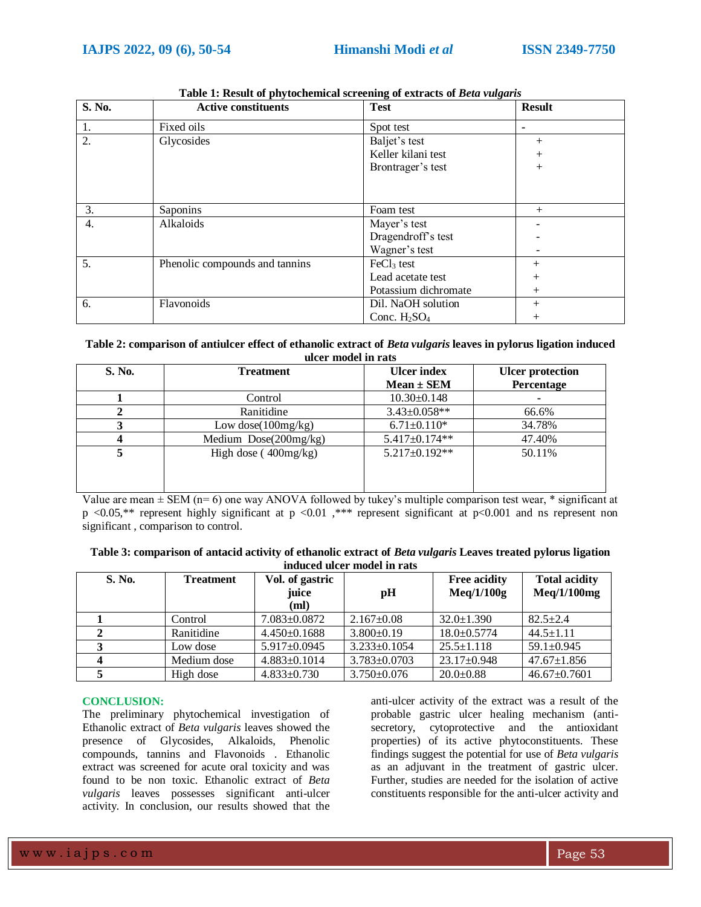| S. No. | <b>Active constituents</b>     | <b>Test</b>            | <b>Result</b> |
|--------|--------------------------------|------------------------|---------------|
| 1.     | Fixed oils                     | Spot test              | -             |
| 2.     | Glycosides                     | Baljet's test          | $^+$          |
|        |                                | Keller kilani test     | $^+$          |
|        |                                | Brontrager's test      | $^{+}$        |
|        |                                |                        |               |
|        |                                |                        |               |
| 3.     | Saponins                       | Foam test              | $^{+}$        |
| 4.     | Alkaloids                      | Mayer's test           |               |
|        |                                | Dragendroff's test     |               |
|        |                                | Wagner's test          |               |
| 5.     | Phenolic compounds and tannins | FeCl <sub>3</sub> test | $^{+}$        |
|        |                                | Lead acetate test      | $^{+}$        |
|        |                                | Potassium dichromate   | $^{+}$        |
| 6.     | Flavonoids                     | Dil. NaOH solution     | $^{+}$        |
|        |                                | Conc. $H_2SO_4$        | $^{+}$        |

**Table 1: Result of phytochemical screening of extracts of** *Beta vulgaris*

# **Table 2: comparison of antiulcer effect of ethanolic extract of** *Beta vulgaris* **leaves in pylorus ligation induced ulcer model in rats**

| S. No. | <b>Treatment</b>        | <b>Ulcer</b> index  | <b>Ulcer</b> protection |
|--------|-------------------------|---------------------|-------------------------|
|        |                         | $Mean \pm SEM$      | Percentage              |
|        | Control                 | $10.30\pm0.148$     |                         |
|        | Ranitidine              | $3.43 \pm 0.058**$  | 66.6%                   |
|        | Low dose $(100mg/kg)$   | $6.71 \pm 0.110*$   | 34.78%                  |
|        | Medium $Dose(200mg/kg)$ | 5.417±0.174**       | 47.40%                  |
|        | High dose $(400mg/kg)$  | $5.217 \pm 0.192**$ | 50.11%                  |

Value are mean  $\pm$  SEM (n= 6) one way ANOVA followed by tukey's multiple comparison test wear,  $*$  significant at p <0.05,\*\* represent highly significant at p <0.01 ,\*\*\* represent significant at p<0.001 and ns represent non significant , comparison to control.

| Table 3: comparison of antacid activity of ethanolic extract of Beta vulgaris Leaves treated pylorus ligation |  |
|---------------------------------------------------------------------------------------------------------------|--|
| induced ulcer model in rats                                                                                   |  |

| <b>S. No.</b> | <b>Treatment</b> | Vol. of gastric<br>juice<br>(ml) | pH                 | <b>Free acidity</b><br>Meq/1/100g | <b>Total acidity</b><br>Meq/1/100mg |
|---------------|------------------|----------------------------------|--------------------|-----------------------------------|-------------------------------------|
|               | Control          | $7.083 \pm 0.0872$               | $2.167 \pm 0.08$   | $32.0 \pm 1.390$                  | $82.5 + 2.4$                        |
|               | Ranitidine       | $4.450\pm0.1688$                 | $3.800\pm0.19$     | $18.0 \pm 0.5774$                 | $44.5 \pm 1.11$                     |
|               | Low dose         | $5.917 \pm 0.0945$               | $3.233 \pm 0.1054$ | $25.5 \pm 1.118$                  | $59.1 \pm 0.945$                    |
|               | Medium dose      | $4.883\pm0.1014$                 | $3.783 \pm 0.0703$ | $23.17 \pm 0.948$                 | $47.67 \pm 1.856$                   |
|               | High dose        | $4.833 \pm 0.730$                | $3.750\pm0.076$    | $20.0 \pm 0.88$                   | $46.67 \pm 0.7601$                  |

# **CONCLUSION:**

The preliminary phytochemical investigation of Ethanolic extract of *Beta vulgaris* leaves showed the presence of Glycosides, Alkaloids, Phenolic compounds, tannins and Flavonoids . Ethanolic extract was screened for acute oral toxicity and was found to be non toxic. Ethanolic extract of *Beta vulgaris* leaves possesses significant anti-ulcer activity. In conclusion, our results showed that the

anti-ulcer activity of the extract was a result of the probable gastric ulcer healing mechanism (antisecretory, cytoprotective and the antioxidant properties) of its active phytoconstituents. These findings suggest the potential for use of *Beta vulgaris*  as an adjuvant in the treatment of gastric ulcer. Further, studies are needed for the isolation of active constituents responsible for the anti-ulcer activity and